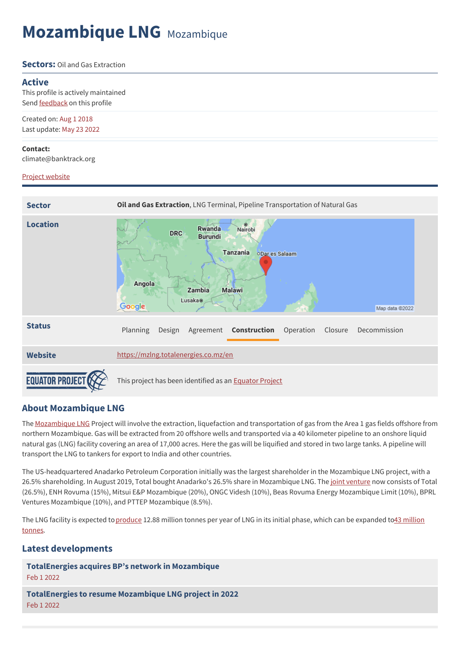# **Mozambique LNG** Mozambique

#### **Sectors:** Oil and Gas Extraction

#### **Active**

This profile is actively maintained Send [feedback](https://www.banktrack.org/feedback/dodgydeal/mozambique_lng) on this profile

Created on: Aug 1 2018 Last update: May 23 2022

#### **Contact:**

climate@banktrack.org

#### Project [website](https://mzlng.totalenergies.co.mz/en)



## **About Mozambique LNG**

The [Mozambique](https://mzlng.totalenergies.co.mz/en) LNG Project will involve the extraction, liquefaction and transportation of gas from the Area 1 gas fields offshore from northern Mozambique. Gas will be extracted from 20 offshore wells and transported via a 40 kilometer pipeline to an onshore liquid natural gas (LNG) facility covering an area of 17,000 acres. Here the gas will be liquified and stored in two large tanks. A pipeline will transport the LNG to tankers for export to India and other countries.

The US-headquartered Anadarko Petroleum Corporation initially was the largest shareholder in the Mozambique LNG project, with a 26.5% shareholding. In August 2019, Total bought Anadarko's 26.5% share in Mozambique LNG. The joint [venture](https://www.nsenergybusiness.com/projects/area-1-mozambique-lng-project/) now consists of Total (26.5%), ENH Rovuma (15%), Mitsui E&P Mozambique (20%), ONGC Videsh (10%), Beas Rovuma Energy Mozambique Limit (10%), BPRL Ventures Mozambique (10%), and PTTEP Mozambique (8.5%).

The LNG facility is expected [to](https://mzlng.totalenergies.co.mz/en/about-mozambique-liquefied-natural-gas-project) [produc](https://www.reuters.com/article/us-anadarko-petroleum-mozambique-lng-exc/exclusive-anadarko-seeks-to-raise-14-15-billion-for-mozambique-lng-project-idUSKCN1IJ1NR)[e](https://mzlng.totalenergies.co.mz/en/about-mozambique-liquefied-natural-gas-project) 12.88 million tonnes per year of LNG in its initial phase, which can be expanded to43 million tonnes.

## **Latest developments**

**[TotalEnergies](javascript:void(0)) acquires BP's network in Mozambique**

Feb 1 2022

**[TotalEnergies](javascript:void(0)) to resume Mozambique LNG project in 2022** Feb 1 2022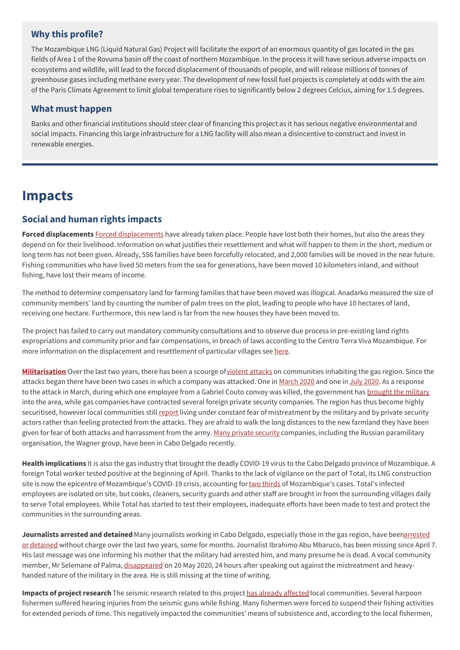## **Why this profile?**

The Mozambique LNG (Liquid Natural Gas) Project will facilitate the export of an enormous quantity of gas located in the gas fields of Area 1 of the Rovuma basin off the coast of northern Mozambique. In the process it will have serious adverse impacts on ecosystems and wildlife, will lead to the forced displacement of thousands of people, and will release millions of tonnes of greenhouse gases including methane every year. The development of new fossil fuel projects is completely at odds with the aim of the Paris Climate Agreement to limit global temperature rises to significantly below 2 degrees Celcius, aiming for 1.5 degrees.

### **What must happen**

Banks and other financial institutions should steer clear of financing this project as it has serious negative environmental and social impacts. Financing this large infrastructure for a LNG facility will also mean a disincentive to construct and invest in renewable energies.

## **Impacts**

## **Social and human rights impacts**

**Forced displacements** Forced [displacements](https://www.banktrack.org/download/the_impacts_of_the_lng_industry_in_cabo_delgado_mozambique/impacts_of_lng_in_mozambique_by_ja.pdf) have already taken place. People have lost both their homes, but also the areas they depend on for their livelihood. Information on what justifies their resettlement and what will happen to them in the short, medium or long term has not been given. Already, 556 families have been forcefully relocated, and 2,000 families will be moved in the near future. Fishing communities who have lived 50 meters from the sea for generations, have been moved 10 kilometers inland, and without fishing, have lost their means of income.

The method to determine compensatory land for farming families that have been moved was illogical. Anadarko measured the size of community members' land by counting the number of palm trees on the plot, leading to people who have 10 hectares of land, receiving one hectare. Furthermore, this new land is far from the new houses they have been moved to.

The project has failed to carry out mandatory community consultations and to observe due process in pre-existing land rights expropriations and community prior and fair compensations, in breach of laws according to the Centro Terra Viva Mozambique. For more information on the displacement and resettlement of particular villages see [here.](https://www.banktrack.org/download/report_on_the_ground_in_cabo_delgado_may_2020_from_ja/report_on_the_ground_in_cabo_delgado_may_2020_from_ja.pdf)

**[Militarisation](https://www.foei.org/wp-content/uploads/2020/06/Gas-in-Mozambique_Friends-of-the-Earth_Executive-Summary_English-.pdf)** Over the last two years, there has been a scourge o[fviolent](https://www.reuters.com/article/us-mozambique-insurgency/mozambique-forces-killed-over-100-islamist-insurgents-in-past-month-government-idUSKCN22A38T) attacks on communities inhabiting the gas region. Since the attacks began there have been two cases in which a company was attacked. One in [March](https://clubofmozambique.com/news/mozambique-attacks-lng-consortium-working-with-the-relevant-authorities-total-154262/) [2020](https://oilprice.com/Latest-Energy-News/World-News/Militants-Kill-8-Subcontractors-On-Totals-LNG-Project-In-Mozambique.html) and one in July 2020. As a response to the attack in March, during which one employee from a Gabriel Couto convoy was killed, the government has [brought](https://www.aljazeera.com/news/2020/04/mozambique-admits-presence-isil-affiliated-fighters-200424200048073.html) the military into the area, while gas companies have contracted several foreign private security companies. The region has thus become highly securitised, however local communities still [report](https://www.banktrack.org/download/the_impacts_of_the_lng_industry_in_cabo_delgado_mozambique/impacts_of_lng_in_mozambique_by_ja.pdf) living under constant fear of mistreatment by the military and by private security actors rather than feeling protected from the attacks. They are afraid to walk the long distances to the new farmland they have been given for fear of both attacks and harrassment from the army. Many private [security](https://www.businesslive.co.za/bd/opinion/2020-06-23-banks-are-turning-a-blind-eye-to-mozambique-gas-field-graft/) companies, including the Russian paramilitary organisation, the Wagner group, have been in Cabo Delgado recently.

**Health implications** It is also the gas industry that brought the deadly COVID-19 virus to the Cabo Delgado province of Mozambique. A foreign Total worker tested positive at the beginning of April. Thanks to the lack of vigilance on the part of Total, its LNG construction site is now the epicentre of Mozambique's COVID-19 crisis, accounting for two [thirds](https://www.bloomberg.com/news/articles/2020-04-14/total-s-lng-project-is-mozambique-s-coronavirus-epicenter) of Mozambique's cases. Total's infected employees are isolated on site, but cooks, cleaners, security guards and other staff are brought in from the surrounding villages daily to serve Total employees. While Total has started to test their employees, inadequate efforts have been made to test and protect the communities in the surrounding areas.

**Journalists arrested and detained** Many journalists working in Cabo Delgado, especially those in the gas region, have [beenarrested](https://www.foei.org/wp-content/uploads/2020/06/Gas-in-Mozambique_Friends-of-the-Earth_Executive-Summary_English-.pdf) or detained without charge over the last two years, some for months. Journalist Ibrahimo Abu Mbaruco, has been missing since April 7. His last message was one informing his mother that the military had arrested him, and many presume he is dead. A vocal community member, Mr Selemane of Palma, [disappeared](https://www.facebook.com/ja4change/posts/3152382444795868) on 20 May 2020, 24 hours after speaking out against the mistreatment and heavyhanded nature of the military in the area. He is still missing at the time of writing.

**Impacts of project research** The seismic research related to this project has already [affected](http://www.facing-finance.org/en/database/cases/rovuma-basin-mozambique-gas-explorationrovuma-becken-mosambik-erkundung-von-gasfeldern/) local communities. Several harpoon fishermen suffered hearing injuries from the seismic guns while fishing. Many fishermen were forced to suspend their fishing activities for extended periods of time. This negatively impacted the communities' means of subsistence and, according to the local fishermen,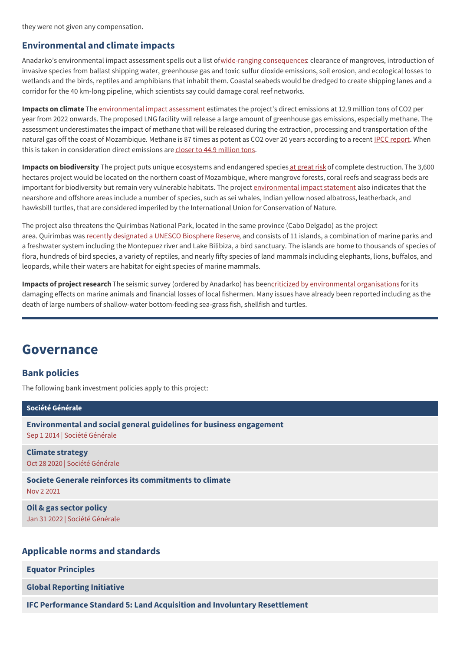they were not given any compensation.

## **Environmental and climate impacts**

Anadarko's environmental impact assessment spells out a list ofwide-ranging [consequences](https://www.theguardian.com/us-news/2016/dec/07/export-import-bank-fossil-fuel-plants-vietnam-mozambique): clearance of mangroves, introduction of invasive species from ballast shipping water, greenhouse gas and toxic sulfur dioxide emissions, soil erosion, and ecological losses to wetlands and the birds, reptiles and amphibians that inhabit them. Coastal seabeds would be dredged to create shipping lanes and a corridor for the 40 km-long pipeline, which scientists say could damage coral reef networks.

**Impacts on climate** The [environmental](https://www.banktrack.org/download/mozambique_lng_environmental_impact_assessment_chapter_12/chapter_12_lng_final_eia_sept_2014_eng.pdf) impact assessment estimates the project's direct emissions at 12.9 million tons of CO2 per year from 2022 onwards. The proposed LNG facility will release a large amount of greenhouse gas emissions, especially methane. The assessment underestimates the impact of methane that will be released during the extraction, processing and transportation of the natural gas off the coast of Mozambique. Methane is 87 times as potent as CO2 over 20 years according to a recent IPCC [report](http://www.ipcc.ch/report/ar5/wg1/). When this is taken in consideration direct emissions are closer to 44.9 [million](https://1bps6437gg8c169i0y1drtgz-wpengine.netdna-ssl.com/wp-content/uploads/2019/11/2019.10.29_OPIC-Rovuma-LNG-EIA-Comments_final.pdf) tons.

**Impacts on biodiversity** The project puts unique ecosystems and endangered species at [great](https://portals.iucn.org/library/sites/library/files/documents/2015-019.pdf) risk of complete destruction. The 3,600 hectares project would be located on the northern coast of Mozambique, where mangrove forests, coral reefs and seagrass beds are important for biodiversity but remain very vulnerable habitats. The project [environmental](https://www3.opic.gov/Environment/EIA/rovuma/ESIA/Chapter_7_LNG_Final_EIA_Feb_2014_Eng.pdf) impact statement also indicates that the nearshore and offshore areas include a number of species, such as sei whales, Indian yellow nosed albatross, leatherback, and hawksbill turtles, that are considered imperiled by the International Union for Conservation of Nature.

The project also threatens the Quirimbas National Park, located in the same province (Cabo Delgado) as the project area. Quirimbas was recently [designated](https://en.unesco.org/biosphere/africa/quirimbas) a UNESCO Biosphere Reserve, and consists of 11 islands, a combination of marine parks and a freshwater system including the Montepuez river and Lake Bilibiza, a bird sanctuary. The islands are home to thousands of species of flora, hundreds of bird species, a variety of reptiles, and nearly fifty species of land mammals including elephants, lions, buffalos, and leopards, while their waters are habitat for eight species of marine mammals.

**Impacts of project research** The seismic survey (ordered by Anadarko) has beencriticized by [environmental](https://www.foei.org/wp-content/uploads/2011/09/oil-or-development.pdf) organisations for its damaging effects on marine animals and financial losses of local fishermen. Many issues have already been reported including as the death of large numbers of shallow-water bottom-feeding sea-grass fish, shellfish and turtles.

## **Governance**

## **Bank policies**

The following bank investment policies apply to this project:

| Société Générale                                                                                     |
|------------------------------------------------------------------------------------------------------|
| Environmental and social general guidelines for business engagement<br>Sep 1 2014   Société Générale |
| <b>Climate strategy</b><br>Oct 28 2020   Société Générale                                            |
| Societe Generale reinforces its commitments to climate<br>Nov 2 2021                                 |
| Oil & gas sector policy<br>Jan 31 2022   Société Générale                                            |
|                                                                                                      |

### **Applicable norms and standards**

**Equator [Principles](http://www.equator-principles.com)**

**Global [Reporting](http://www.globalreporting.org) Initiative**

**IFC Performance Standard 5: Land Acquisition and Involuntary [Resettlement](https://www.ifc.org/wps/wcm/connect/topics_ext_content/ifc_external_corporate_site/sustainability-at-ifc/policies-standards/performance-standards/ps5)**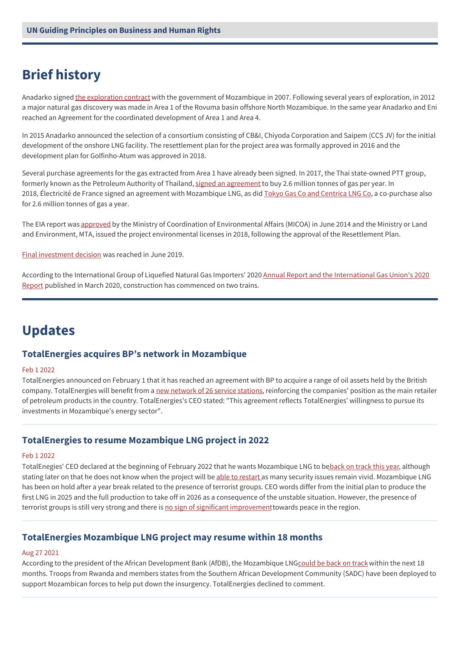## **Brief history**

Anadarko signed the [exploration](http://www.mzlng.com/The-Project/The-Resource/) contract with the government of Mozambique in 2007. Following several years of exploration, in 2012 a major natural gas discovery was made in Area 1 of the Rovuma basin offshore North Mozambique. In the same year Anadarko and Eni reached an Agreement for the coordinated development of Area 1 and Area 4.

In 2015 Anadarko announced the selection of a consortium consisting of CB&I, Chiyoda Corporation and Saipem (CCS JV) for the initial development of the onshore LNG facility. The resettlement plan for the project area was formally approved in 2016 and the development plan for Golfinho-Atum was approved in 2018.

Several purchase agreements for the gas extracted from Area 1 have already been signed. In 2017, the Thai state-owned PTT group, formerly known as the Petroleum Authority of Thailand, signed an [agreement](https://www.cp-africa.com/2017/10/13/mozambique-thailand-firm-buys-stake-natural-gas-field/) to buy 2.6 million tonnes of gas per year. In 2018, Électricité de France signed an agreement with Mozambique LNG, as did Tokyo Gas Co and [Centrica](http://www.naturalgasintel.com/articles/114729-anadarko-led-mozambique-lng-project-secures-two-more-contracts) LNG Co, a co-purchase also for 2.6 million tonnes of gas a year.

The EIA report was [approved](https://www.mzlng.total.com/sustainability/environment/environmental-licensing) by the Ministry of Coordination of Environmental Affairs (MICOA) in June 2014 and the Ministry or Land and Environment, MTA, issued the project environmental licenses in 2018, following the approval of the Resettlement Plan.

Final [investment](https://www.prnewswire.com/news-releases/anadarko-announces-mozambique-lng-final-investment-decision-300870691.html) decision was reached in June 2019.

According to the [International](https://www.igu.org/resources/2020-world-lng-report/) Group of Liquefied Natural Gas Importers' 2020 Annual Report and the International Gas Union's 2020 Report published in March 2020, construction has commenced on two trains.

## **Updates**

### **TotalEnergies acquires BP's network in Mozambique**

#### Feb 1 2022

TotalEnergies announced on February 1 that it has reached an agreement with BP to acquire a range of oil assets held by the British company. TotalEnergies will benefit from a new [network](https://www.petrolplaza.com/news/29131) of 26 service stations, reinforcing the companies' position as the main retailer of petroleum products in the country. TotalEnergies's CEO stated: "This agreement reflects TotalEnergies' willingness to pursue its investments in Mozambique's energy sector".

### **TotalEnergies to resume Mozambique LNG project in 2022**

#### Feb 1 2022

TotalEnegies' CEO declared at the beginning of February 2022 that he wants Mozambique LNG to b[eback](https://www.offshore-energy.biz/totalenergies-to-resume-mozambique-lng-project-in-2022/) on track this year, although stating later on that he does not know when the project will be able to [restart](https://seekingalpha.com/article/4486078-totalenergies-se-tte-ceo-patrick-pouyanne-on-q4-2021-results-earnings-call-transcript) as many security issues remain vivid. Mozambique LNG has been on hold after a year break related to the presence of terrorist groups. CEO words differ from the initial plan to produce the first LNG in 2025 and the full production to take off in 2026 as a consequence of the unstable situation. However, the presence of terrorist groups is still very strong and there is no sign of significant [improvement](https://www.lemonde.fr/afrique/article/2022/02/02/mozambique-la-menace-djihadiste-obstacle-dans-la-course-au-gaz-naturel_6111972_3212.html) towards peace in the region.

### **TotalEnergies Mozambique LNG project may resume within 18 months**

#### Aug 27 2021

According to the president of the African Development Bank (AfDB), the Mozambique LNG[could](https://www.reuters.com/world/africa/totalenergies-mozambique-lng-project-may-resume-within-18-months-says-afdb-2021-08-27/) be back on track within the next 18 months. Troops from Rwanda and members states from the Southern African Development Community (SADC) have been deployed to support Mozambican forces to help put down the insurgency. TotalEnergies declined to comment.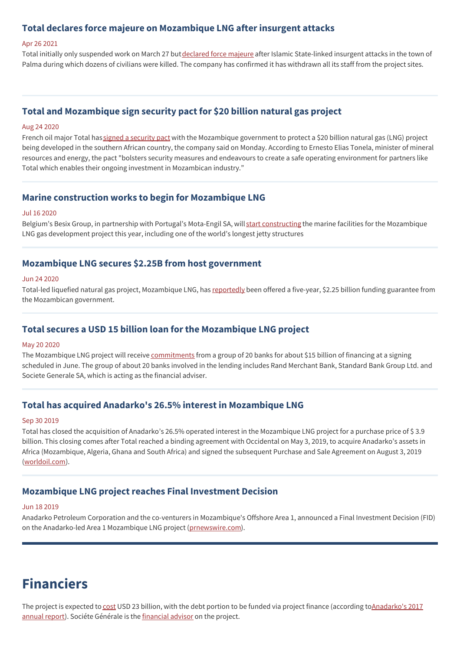## **Total declares force majeure on Mozambique LNG after insurgent attacks**

#### Apr 26 2021

Total initially only suspended work on March 27 but [declared](https://www.reuters.com/world/africa/frances-total-declares-force-majeure-mozambique-lng-project-2021-04-26/) force majeure after Islamic State-linked insurgent attacks in the town of Palma during which dozens of civilians were killed. The company has confirmed it has withdrawn all its staff from the project sites.

## **Total and Mozambique sign security pact for \$20 billion natural gas project**

#### Aug 24 2020

French oil major Total has signed a [security](https://africa.cgtn.com/2020/08/24/total-and-mozambique-sign-security-pact-for-20-billion-natural-gas-project/) pact with the Mozambique government to protect a \$20 billion natural gas (LNG) project being developed in the southern African country, the company said on Monday. According to Ernesto Elias Tonela, minister of mineral resources and energy, the pact "bolsters security measures and endeavours to create a safe operating environment for partners like Total which enables their ongoing investment in Mozambican industry."

#### **Marine construction works to begin for Mozambique LNG**

#### Jul 16 2020

Belgium's Besix Group, in partnership with Portugal's Mota-Engil SA, will start [constructing](https://www.rivieramm.com/news-content-hub/construction-of-marine-works-to-begin-for-mozambique-lng-60270) the marine facilities for the Mozambique LNG gas development project this year, including one of the world's longest jetty structures

#### **Mozambique LNG secures \$2.25B from host government**

#### Jun 24 2020

Total-led liquefied natural gas project, Mozambique LNG, has [reportedly](https://www.kallanishenergy.com/2020/06/24/mozambique-lng-secures-2-25b-from-host-government/) been offered a five-year, \$2.25 billion funding guarantee from the Mozambican government.

#### **Total secures a USD 15 billion loan for the Mozambique LNG project**

#### May 20 2020

The Mozambique LNG project will receive [commitments](https://www.worldoil.com/news/2020/5/20/total-lands-15-billion-financing-commitment-for-mozambique-lng-project) from a group of 20 banks for about \$15 billion of financing at a signing scheduled in June. The group of about 20 banks involved in the lending includes Rand Merchant Bank, Standard Bank Group Ltd. and Societe Generale SA, which is acting as the financial adviser.

### **Total has acquired Anadarko's 26.5% interest in Mozambique LNG**

#### Sep 30 2019

Total has closed the acquisition of Anadarko's 26.5% operated interest in the Mozambique LNG project for a purchase price of \$ 3.9 billion. This closing comes after Total reached a binding agreement with Occidental on May 3, 2019, to acquire Anadarko's assets in Africa (Mozambique, Algeria, Ghana and South Africa) and signed the subsequent Purchase and Sale Agreement on August 3, 2019 ([worldoil.com\)](https://www.worldoil.com/news/2019/9/30/total-pays-39-billion-for-anadarko-s-mozambique-lng-interest).

### **Mozambique LNG project reaches Final Investment Decision**

#### Jun 18 2019

Anadarko Petroleum Corporation and the co-venturers in Mozambique's Offshore Area 1, announced a Final Investment Decision (FID) on the Anadarko-led Area 1 Mozambique LNG project [\(prnewswire.com](https://www.prnewswire.com/news-releases/anadarko-announces-mozambique-lng-final-investment-decision-300870691.html)).

## **Financiers**

The project is expected to [cost](https://business.financialpost.com/pmn/business-pmn/mozambique-gas-project-valued-same-as-whole-nations-economy) USD 23 billion, with the debt portion to be funded via project finance (according [toAnadarko's](https://www.banktrack.org/download/anadarko_annual_report_2017/apc_anadarko_petroleum_corporation_10k_20180215.pdf) 2017 annual report). Sociéte Générale is the [financial](https://www.bloombergquint.com/onweb/mozambique-picks-socgen-to-advise-state-oil-company-on-funding) advisor on the project.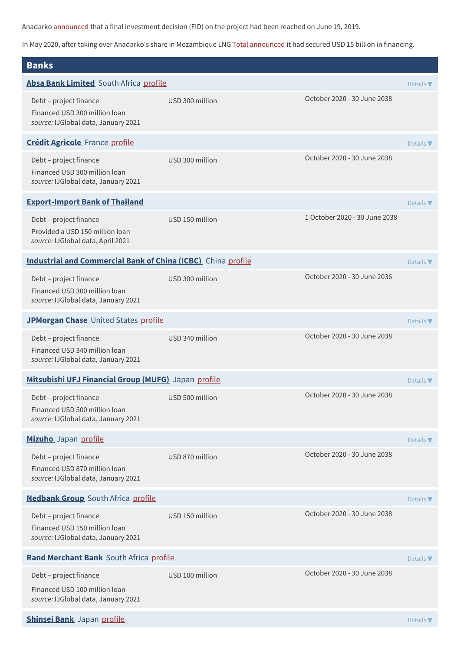Anadarko [announced](https://www.worldoil.com/news/2019/6/19/anadarko-announces-fid-on-area-1-mozambique-lng-project) that a final investment decision (FID) on the project had been reached on June 19, 2019.

In May 2020, after taking over Anadarko's share in Mozambique LNG Total [announced](https://www.total.com/media/news/news/total-announces-signing-mozambique-lng-project-financing) it had secured USD 15 billion in financing.

| <b>Banks</b>                                                                                   |                 |                               |                              |  |
|------------------------------------------------------------------------------------------------|-----------------|-------------------------------|------------------------------|--|
| Absa Bank Limited South Africa profile                                                         |                 |                               | Details $\blacktriangledown$ |  |
| Debt - project finance<br>Financed USD 300 million loan<br>source: IJGlobal data, January 2021 | USD 300 million | October 2020 - 30 June 2038   |                              |  |
| <b>Crédit Agricole</b> France profile                                                          |                 |                               | Details $\nabla$             |  |
| Debt - project finance<br>Financed USD 300 million loan<br>source: IJGlobal data, January 2021 | USD 300 million | October 2020 - 30 June 2038   |                              |  |
| <b>Export-Import Bank of Thailand</b>                                                          |                 |                               | Details $\nabla$             |  |
| Debt - project finance<br>Provided a USD 150 million loan<br>source: IJGlobal data, April 2021 | USD 150 million | 1 October 2020 - 30 June 2038 |                              |  |
| <b>Industrial and Commercial Bank of China (ICBC)</b> China profile                            |                 |                               | Details $\blacktriangledown$ |  |
| Debt - project finance<br>Financed USD 300 million loan<br>source: IJGlobal data, January 2021 | USD 300 million | October 2020 - 30 June 2036   |                              |  |
| JPMorgan Chase United States profile                                                           |                 |                               |                              |  |
| Debt - project finance<br>Financed USD 340 million loan<br>source: IJGlobal data, January 2021 | USD 340 million | October 2020 - 30 June 2038   |                              |  |
| Mitsubishi UFJ Financial Group (MUFG) Japan profile                                            |                 |                               | Details $\nabla$             |  |
| Debt - project finance<br>Financed USD 500 million loan<br>source: IJGlobal data, January 2021 | USD 500 million | October 2020 - 30 June 2038   |                              |  |
| Mizuho Japan profile                                                                           |                 |                               | Details $\nabla$             |  |
| Debt - project finance<br>Financed USD 870 million loan<br>source: IJGlobal data, January 2021 | USD 870 million | October 2020 - 30 June 2038   |                              |  |
| <b>Nedbank Group</b> South Africa profile                                                      |                 |                               | Details $\nabla$             |  |
| Debt - project finance<br>Financed USD 150 million loan<br>source: IJGlobal data, January 2021 | USD 150 million | October 2020 - 30 June 2038   |                              |  |
| Rand Merchant Bank South Africa profile                                                        |                 |                               | Details $\nabla$             |  |
| Debt - project finance<br>Financed USD 100 million loan<br>source: IJGlobal data, January 2021 | USD 100 million | October 2020 - 30 June 2038   |                              |  |
| Shinsei Bank Japan profile                                                                     |                 |                               | Details $\blacktriangledown$ |  |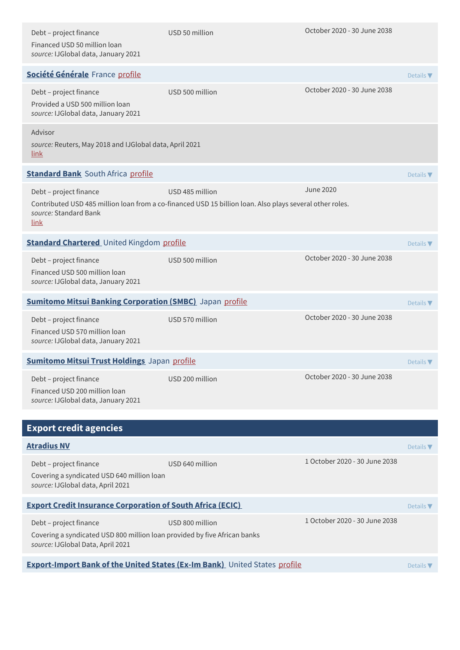| Debt - project finance<br>Financed USD 50 million loan<br>source: IJGlobal data, January 2021                                            | USD 50 million                                                                                                              | October 2020 - 30 June 2038   |                              |  |
|------------------------------------------------------------------------------------------------------------------------------------------|-----------------------------------------------------------------------------------------------------------------------------|-------------------------------|------------------------------|--|
| Société Générale France profile                                                                                                          |                                                                                                                             |                               | Details $\blacktriangledown$ |  |
| Debt - project finance<br>Provided a USD 500 million loan<br>source: IJGlobal data, January 2021                                         | USD 500 million                                                                                                             | October 2020 - 30 June 2038   |                              |  |
| Advisor<br>source: Reuters, May 2018 and IJGlobal data, April 2021<br><u>link</u>                                                        |                                                                                                                             |                               |                              |  |
| <b>Standard Bank</b> South Africa profile                                                                                                |                                                                                                                             |                               | Details $\nabla$             |  |
| Debt - project finance<br>source: Standard Bank<br><u>link</u>                                                                           | USD 485 million<br>Contributed USD 485 million loan from a co-financed USD 15 billion loan. Also plays several other roles. | <b>June 2020</b>              |                              |  |
| <b>Standard Chartered</b> United Kingdom profile                                                                                         |                                                                                                                             |                               | Details $\nabla$             |  |
| Debt - project finance<br>Financed USD 500 million loan<br>source: IJGlobal data, January 2021                                           | USD 500 million                                                                                                             | October 2020 - 30 June 2038   |                              |  |
| <b>Sumitomo Mitsui Banking Corporation (SMBC)</b> Japan profile                                                                          |                                                                                                                             |                               | Details $\nabla$             |  |
| Debt - project finance<br>Financed USD 570 million loan<br>source: IJGlobal data, January 2021                                           | USD 570 million                                                                                                             | October 2020 - 30 June 2038   |                              |  |
| <b>Sumitomo Mitsui Trust Holdings Japan profile</b>                                                                                      |                                                                                                                             |                               |                              |  |
| Debt - project finance<br>Financed USD 200 million loan<br>source: IJGlobal data, January 2021                                           | USD 200 million                                                                                                             | October 2020 - 30 June 2038   |                              |  |
| <b>Export credit agencies</b>                                                                                                            |                                                                                                                             |                               |                              |  |
| <b>Atradius NV</b>                                                                                                                       |                                                                                                                             |                               | Details $\blacktriangledown$ |  |
| Debt - project finance<br>Covering a syndicated USD 640 million loan<br>source: IJGlobal data, April 2021                                | USD 640 million                                                                                                             | 1 October 2020 - 30 June 2038 |                              |  |
| <b>Export Credit Insurance Corporation of South Africa (ECIC)</b>                                                                        |                                                                                                                             |                               |                              |  |
| Debt - project finance<br>Covering a syndicated USD 800 million loan provided by five African banks<br>source: IJGlobal Data, April 2021 | USD 800 million                                                                                                             | 1 October 2020 - 30 June 2038 |                              |  |
| <b>Export-Import Bank of the United States (Ex-Im Bank)</b> United States profile                                                        |                                                                                                                             |                               |                              |  |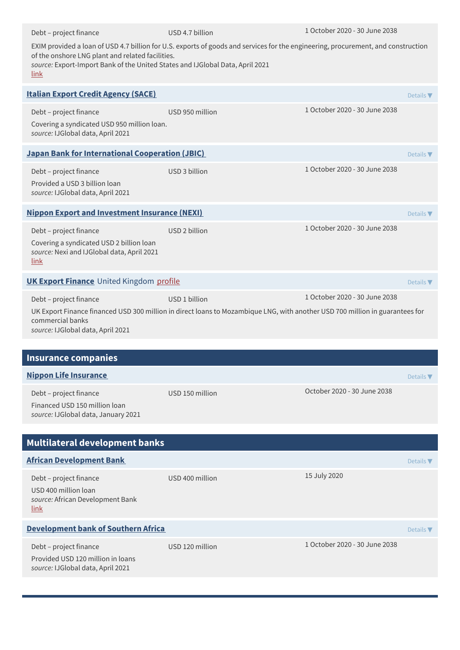| Debt - project finance                                                                                                                                                                                                                                                         | USD 4.7 billion | 1 October 2020 - 30 June 2038 |                  |  |  |  |
|--------------------------------------------------------------------------------------------------------------------------------------------------------------------------------------------------------------------------------------------------------------------------------|-----------------|-------------------------------|------------------|--|--|--|
| EXIM provided a loan of USD 4.7 billion for U.S. exports of goods and services for the engineering, procurement, and construction<br>of the onshore LNG plant and related facilities.<br>source: Export-Import Bank of the United States and IJGlobal Data, April 2021<br>link |                 |                               |                  |  |  |  |
| <b>Italian Export Credit Agency (SACE)</b>                                                                                                                                                                                                                                     |                 |                               | Details $\nabla$ |  |  |  |
| Debt - project finance<br>Covering a syndicated USD 950 million loan.<br>source: IJGlobal data, April 2021                                                                                                                                                                     | USD 950 million | 1 October 2020 - 30 June 2038 |                  |  |  |  |
| <b>Japan Bank for International Cooperation (JBIC)</b><br>Details $\blacktriangledown$                                                                                                                                                                                         |                 |                               |                  |  |  |  |
| Debt - project finance<br>Provided a USD 3 billion loan<br>source: IJGlobal data, April 2021                                                                                                                                                                                   | USD 3 billion   | 1 October 2020 - 30 June 2038 |                  |  |  |  |
| <b>Nippon Export and Investment Insurance (NEXI)</b>                                                                                                                                                                                                                           |                 |                               | Details $\nabla$ |  |  |  |
| Debt - project finance<br>Covering a syndicated USD 2 billion loan<br>source: Nexi and IJGlobal data, April 2021<br><u>link</u>                                                                                                                                                | USD 2 billion   | 1 October 2020 - 30 June 2038 |                  |  |  |  |
| <b>UK Export Finance</b> United Kingdom profile                                                                                                                                                                                                                                |                 |                               | Details $\nabla$ |  |  |  |
| 1 October 2020 - 30 June 2038<br>USD 1 billion<br>Debt - project finance<br>UK Export Finance financed USD 300 million in direct loans to Mozambique LNG, with another USD 700 million in guarantees for<br>commercial banks<br>source: IJGlobal data, April 2021              |                 |                               |                  |  |  |  |
| <b>Insurance companies</b>                                                                                                                                                                                                                                                     |                 |                               |                  |  |  |  |
| <b>Nippon Life Insurance</b>                                                                                                                                                                                                                                                   |                 |                               | Details $\nabla$ |  |  |  |
| Debt - project finance<br>Financed USD 150 million loan<br>source: IJGlobal data, January 2021                                                                                                                                                                                 | USD 150 million | October 2020 - 30 June 2038   |                  |  |  |  |
| <b>Multilateral development banks</b>                                                                                                                                                                                                                                          |                 |                               |                  |  |  |  |
| <b>African Development Bank</b>                                                                                                                                                                                                                                                |                 |                               | Details $\nabla$ |  |  |  |
| Debt - project finance<br>USD 400 million loan<br>source: African Development Bank<br>link                                                                                                                                                                                     | USD 400 million | 15 July 2020                  |                  |  |  |  |
| Development bank of Southern Africa                                                                                                                                                                                                                                            |                 |                               | Details $\nabla$ |  |  |  |
| Debt - project finance<br>Provided USD 120 million in loans<br>source: IJGlobal data, April 2021                                                                                                                                                                               | USD 120 million | 1 October 2020 - 30 June 2038 |                  |  |  |  |